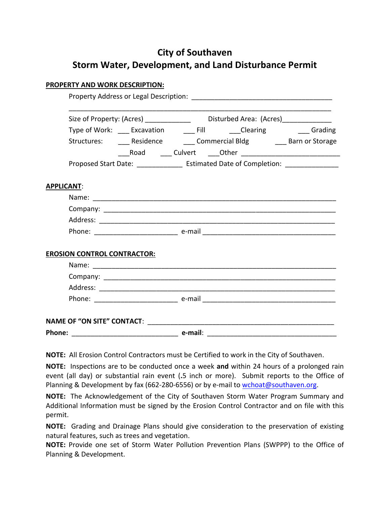# **City of Southaven Storm Water, Development, and Land Disturbance Permit**

## **PROPERTY AND WORK DESCRIPTION:**

|                                                                                        | Size of Property: (Acres) _________________ Disturbed Area: (Acres) ____________ |  |                                                                                                                                                             |
|----------------------------------------------------------------------------------------|----------------------------------------------------------------------------------|--|-------------------------------------------------------------------------------------------------------------------------------------------------------------|
|                                                                                        |                                                                                  |  |                                                                                                                                                             |
|                                                                                        |                                                                                  |  |                                                                                                                                                             |
|                                                                                        |                                                                                  |  |                                                                                                                                                             |
| Proposed Start Date: __________________ Estimated Date of Completion: ________________ |                                                                                  |  |                                                                                                                                                             |
|                                                                                        |                                                                                  |  |                                                                                                                                                             |
|                                                                                        |                                                                                  |  |                                                                                                                                                             |
|                                                                                        |                                                                                  |  |                                                                                                                                                             |
|                                                                                        |                                                                                  |  |                                                                                                                                                             |
|                                                                                        |                                                                                  |  |                                                                                                                                                             |
|                                                                                        |                                                                                  |  |                                                                                                                                                             |
|                                                                                        |                                                                                  |  |                                                                                                                                                             |
|                                                                                        |                                                                                  |  |                                                                                                                                                             |
|                                                                                        |                                                                                  |  |                                                                                                                                                             |
|                                                                                        |                                                                                  |  |                                                                                                                                                             |
|                                                                                        |                                                                                  |  |                                                                                                                                                             |
|                                                                                        |                                                                                  |  |                                                                                                                                                             |
|                                                                                        |                                                                                  |  |                                                                                                                                                             |
|                                                                                        | <b>EROSION CONTROL CONTRACTOR:</b>                                               |  | Type of Work: ____ Excavation _____ Fill _______ Clearing _______ Grading<br>Structures: ______ Residence ________ Commercial Bldg ________ Barn or Storage |

**NOTE:** All Erosion Control Contractors must be Certified to work in the City of Southaven.

**NOTE:** Inspections are to be conducted once a week **and** within 24 hours of a prolonged rain event (all day) or substantial rain event (**.**5 inch or more). Submit reports to the Office of Planning & Development by fax (662-280-6556) or by e-mail to wchoat@southaven.org.

**NOTE:** The Acknowledgement of the City of Southaven Storm Water Program Summary and Additional Information must be signed by the Erosion Control Contractor and on file with this permit.

**NOTE:** Grading and Drainage Plans should give consideration to the preservation of existing natural features, such as trees and vegetation.

**NOTE:** Provide one set of Storm Water Pollution Prevention Plans (SWPPP) to the Office of Planning & Development.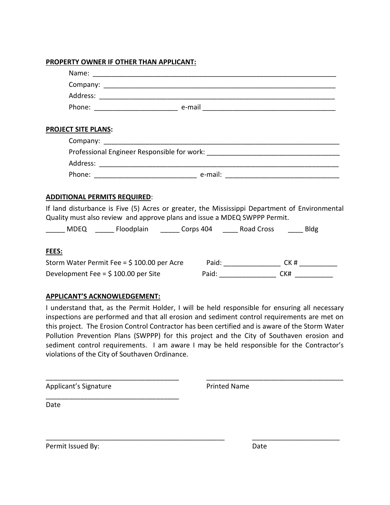#### **PROPERTY OWNER IF OTHER THAN APPLICANT:**

| <b>PROJECT SITE PLANS:</b>                                                                                                                                                 |  |
|----------------------------------------------------------------------------------------------------------------------------------------------------------------------------|--|
|                                                                                                                                                                            |  |
|                                                                                                                                                                            |  |
|                                                                                                                                                                            |  |
|                                                                                                                                                                            |  |
| <b>ADDITIONAL PERMITS REQUIRED:</b>                                                                                                                                        |  |
| If land disturbance is Five (5) Acres or greater, the Mississippi Department of Environmental<br>Quality must also review and approve plans and issue a MDEQ SWPPP Permit. |  |
| ______ MDEQ _______ Floodplain _______ Corps 404 ______ Road Cross ______ Bldg                                                                                             |  |
| FEES:                                                                                                                                                                      |  |
|                                                                                                                                                                            |  |
| Development Fee = \$100.00 per Site Paid: CELET Paid: CK#                                                                                                                  |  |
|                                                                                                                                                                            |  |

## **APPLICANT'S ACKNOWLEDGEMENT:**

\_\_\_\_\_\_\_\_\_\_\_\_\_\_\_\_\_\_\_\_\_\_\_\_\_\_\_\_\_\_\_\_\_\_\_

I understand that, as the Permit Holder, I will be held responsible for ensuring all necessary inspections are performed and that all erosion and sediment control requirements are met on this project. The Erosion Control Contractor has been certified and is aware of the Storm Water Pollution Prevention Plans (SWPPP) for this project and the City of Southaven erosion and sediment control requirements. I am aware I may be held responsible for the Contractor's violations of the City of Southaven Ordinance.

\_\_\_\_\_\_\_\_\_\_\_\_\_\_\_\_\_\_\_\_\_\_\_\_\_\_\_\_\_\_\_\_\_\_\_ \_\_\_\_\_\_\_\_\_\_\_\_\_\_\_\_\_\_\_\_\_\_\_\_\_\_\_\_\_\_\_\_\_\_\_\_

\_\_\_\_\_\_\_\_\_\_\_\_\_\_\_\_\_\_\_\_\_\_\_\_\_\_\_\_\_\_\_\_\_\_\_\_\_\_\_\_\_\_\_\_\_\_\_ \_\_\_\_\_\_\_\_\_\_\_\_\_\_\_\_\_\_\_\_\_\_\_

Applicant's Signature **Printed Name** 

Date

Permit Issued By: Date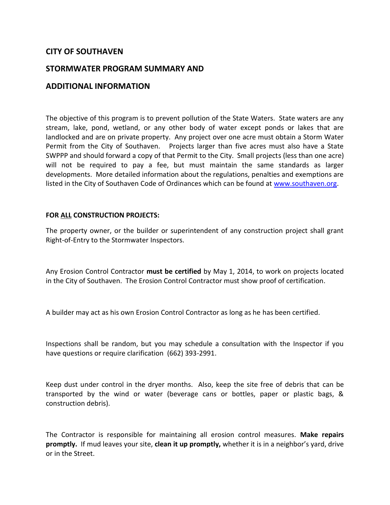# **CITY OF SOUTHAVEN**

# **STORMWATER PROGRAM SUMMARY AND**

# **ADDITIONAL INFORMATION**

The objective of this program is to prevent pollution of the State Waters. State waters are any stream, lake, pond, wetland, or any other body of water except ponds or lakes that are landlocked and are on private property. Any project over one acre must obtain a Storm Water Permit from the City of Southaven. Projects larger than five acres must also have a State SWPPP and should forward a copy of that Permit to the City. Small projects (less than one acre) will not be required to pay a fee, but must maintain the same standards as larger developments. More detailed information about the regulations, penalties and exemptions are listed in the City of Southaven Code of Ordinances which can be found a[t www.southaven.org.](http://www.southaven.org/)

#### **FOR ALL CONSTRUCTION PROJECTS:**

The property owner, or the builder or superintendent of any construction project shall grant Right-of-Entry to the Stormwater Inspectors.

Any Erosion Control Contractor **must be certified** by May 1, 2014, to work on projects located in the City of Southaven. The Erosion Control Contractor must show proof of certification.

A builder may act as his own Erosion Control Contractor as long as he has been certified.

Inspections shall be random, but you may schedule a consultation with the Inspector if you have questions or require clarification (662) 393-2991.

Keep dust under control in the dryer months. Also, keep the site free of debris that can be transported by the wind or water (beverage cans or bottles, paper or plastic bags, & construction debris).

The Contractor is responsible for maintaining all erosion control measures. **Make repairs promptly.** If mud leaves your site, **clean it up promptly,** whether it is in a neighbor's yard, drive or in the Street.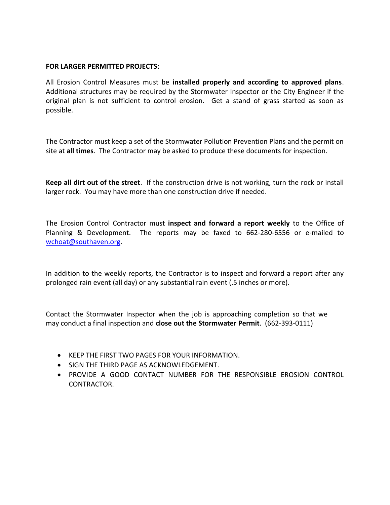### **FOR LARGER PERMITTED PROJECTS:**

All Erosion Control Measures must be **installed properly and according to approved plans**. Additional structures may be required by the Stormwater Inspector or the City Engineer if the original plan is not sufficient to control erosion. Get a stand of grass started as soon as possible.

The Contractor must keep a set of the Stormwater Pollution Prevention Plans and the permit on site at **all times**. The Contractor may be asked to produce these documents for inspection.

**Keep all dirt out of the street**. If the construction drive is not working, turn the rock or install larger rock. You may have more than one construction drive if needed.

The Erosion Control Contractor must **inspect and forward a report weekly** to the Office of Planning & Development. The reports may be faxed to 662-280-6556 or e-mailed to wchoat[@southaven.org.](mailto:rhavens@southaven.org) 

In addition to the weekly reports, the Contractor is to inspect and forward a report after any prolonged rain event (all day) or any substantial rain event (.5 inches or more).

Contact the Stormwater Inspector when the job is approaching completion so that we may conduct a final inspection and **close out the Stormwater Permit**. (662-393-0111)

- KEEP THE FIRST TWO PAGES FOR YOUR INFORMATION.
- SIGN THE THIRD PAGE AS ACKNOWLEDGEMENT.
- PROVIDE A GOOD CONTACT NUMBER FOR THE RESPONSIBLE EROSION CONTROL CONTRACTOR.